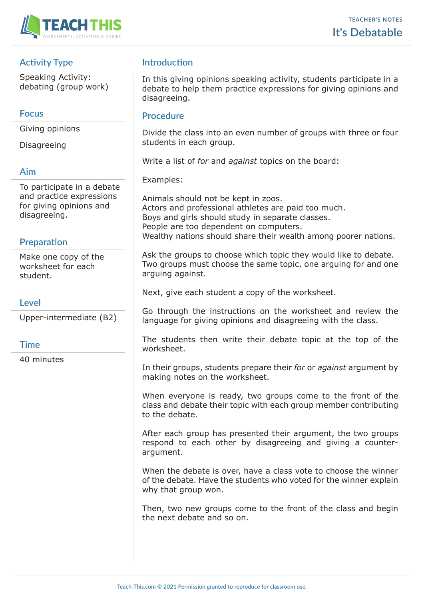

# **Activity Type**

Speaking Activity: debating (group work)

### **Focus**

Giving opinions

**Disagreeing** 

#### **Aim**

To participate in a debate and practice expressions for giving opinions and disagreeing.

## **Preparation**

Make one copy of the worksheet for each student.

### **Level**

Upper-intermediate (B2)

## **Time**

40 minutes

# **Introduction**

In this giving opinions speaking activity, students participate in a debate to help them practice expressions for giving opinions and disagreeing.

#### **Procedure**

Divide the class into an even number of groups with three or four students in each group.

Write a list of *for* and *against* topics on the board:

Examples:

Animals should not be kept in zoos. Actors and professional athletes are paid too much. Boys and girls should study in separate classes. People are too dependent on computers. Wealthy nations should share their wealth among poorer nations.

Ask the groups to choose which topic they would like to debate. Two groups must choose the same topic, one arguing for and one arguing against.

Next, give each student a copy of the worksheet.

Go through the instructions on the worksheet and review the language for giving opinions and disagreeing with the class.

The students then write their debate topic at the top of the worksheet.

In their groups, students prepare their *for* or *against* argument by making notes on the worksheet.

When everyone is ready, two groups come to the front of the class and debate their topic with each group member contributing to the debate.

After each group has presented their argument, the two groups respond to each other by disagreeing and giving a counterargument.

When the debate is over, have a class vote to choose the winner of the debate. Have the students who voted for the winner explain why that group won.

Then, two new groups come to the front of the class and begin the next debate and so on.